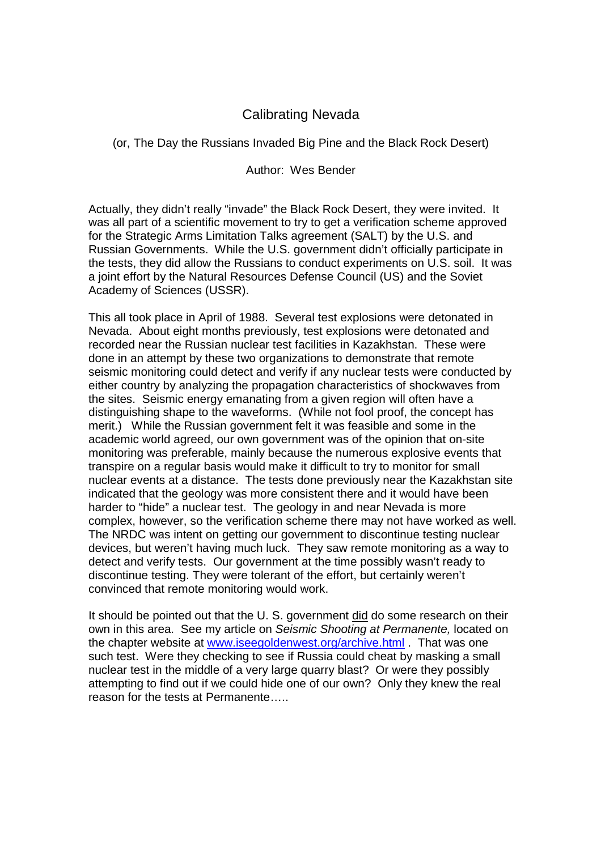## Calibrating Nevada

(or, The Day the Russians Invaded Big Pine and the Black Rock Desert)

Author: Wes Bender

Actually, they didn't really "invade" the Black Rock Desert, they were invited. It was all part of a scientific movement to try to get a verification scheme approved for the Strategic Arms Limitation Talks agreement (SALT) by the U.S. and Russian Governments. While the U.S. government didn't officially participate in the tests, they did allow the Russians to conduct experiments on U.S. soil. It was a joint effort by the Natural Resources Defense Council (US) and the Soviet Academy of Sciences (USSR).

This all took place in April of 1988. Several test explosions were detonated in Nevada. About eight months previously, test explosions were detonated and recorded near the Russian nuclear test facilities in Kazakhstan. These were done in an attempt by these two organizations to demonstrate that remote seismic monitoring could detect and verify if any nuclear tests were conducted by either country by analyzing the propagation characteristics of shockwaves from the sites. Seismic energy emanating from a given region will often have a distinguishing shape to the waveforms. (While not fool proof, the concept has merit.) While the Russian government felt it was feasible and some in the academic world agreed, our own government was of the opinion that on-site monitoring was preferable, mainly because the numerous explosive events that transpire on a regular basis would make it difficult to try to monitor for small nuclear events at a distance. The tests done previously near the Kazakhstan site indicated that the geology was more consistent there and it would have been harder to "hide" a nuclear test. The geology in and near Nevada is more complex, however, so the verification scheme there may not have worked as well. The NRDC was intent on getting our government to discontinue testing nuclear devices, but weren't having much luck. They saw remote monitoring as a way to detect and verify tests. Our government at the time possibly wasn't ready to discontinue testing. They were tolerant of the effort, but certainly weren't convinced that remote monitoring would work.

It should be pointed out that the U. S. government did do some research on their own in this area. See my article on Seismic Shooting at Permanente, located on the chapter website at www.iseegoldenwest.org/archive.html . That was one such test. Were they checking to see if Russia could cheat by masking a small nuclear test in the middle of a very large quarry blast? Or were they possibly attempting to find out if we could hide one of our own? Only they knew the real reason for the tests at Permanente…..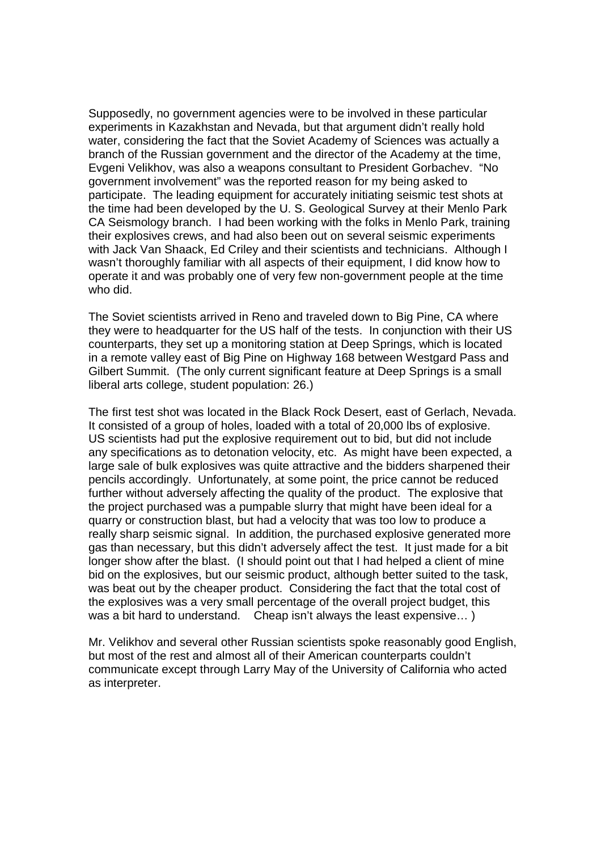Supposedly, no government agencies were to be involved in these particular experiments in Kazakhstan and Nevada, but that argument didn't really hold water, considering the fact that the Soviet Academy of Sciences was actually a branch of the Russian government and the director of the Academy at the time, Evgeni Velikhov, was also a weapons consultant to President Gorbachev. "No government involvement" was the reported reason for my being asked to participate. The leading equipment for accurately initiating seismic test shots at the time had been developed by the U. S. Geological Survey at their Menlo Park CA Seismology branch. I had been working with the folks in Menlo Park, training their explosives crews, and had also been out on several seismic experiments with Jack Van Shaack, Ed Criley and their scientists and technicians. Although I wasn't thoroughly familiar with all aspects of their equipment, I did know how to operate it and was probably one of very few non-government people at the time who did.

The Soviet scientists arrived in Reno and traveled down to Big Pine, CA where they were to headquarter for the US half of the tests. In conjunction with their US counterparts, they set up a monitoring station at Deep Springs, which is located in a remote valley east of Big Pine on Highway 168 between Westgard Pass and Gilbert Summit. (The only current significant feature at Deep Springs is a small liberal arts college, student population: 26.)

The first test shot was located in the Black Rock Desert, east of Gerlach, Nevada. It consisted of a group of holes, loaded with a total of 20,000 lbs of explosive. US scientists had put the explosive requirement out to bid, but did not include any specifications as to detonation velocity, etc. As might have been expected, a large sale of bulk explosives was quite attractive and the bidders sharpened their pencils accordingly. Unfortunately, at some point, the price cannot be reduced further without adversely affecting the quality of the product. The explosive that the project purchased was a pumpable slurry that might have been ideal for a quarry or construction blast, but had a velocity that was too low to produce a really sharp seismic signal. In addition, the purchased explosive generated more gas than necessary, but this didn't adversely affect the test. It just made for a bit longer show after the blast. (I should point out that I had helped a client of mine bid on the explosives, but our seismic product, although better suited to the task, was beat out by the cheaper product. Considering the fact that the total cost of the explosives was a very small percentage of the overall project budget, this was a bit hard to understand. Cheap isn't always the least expensive… )

Mr. Velikhov and several other Russian scientists spoke reasonably good English, but most of the rest and almost all of their American counterparts couldn't communicate except through Larry May of the University of California who acted as interpreter.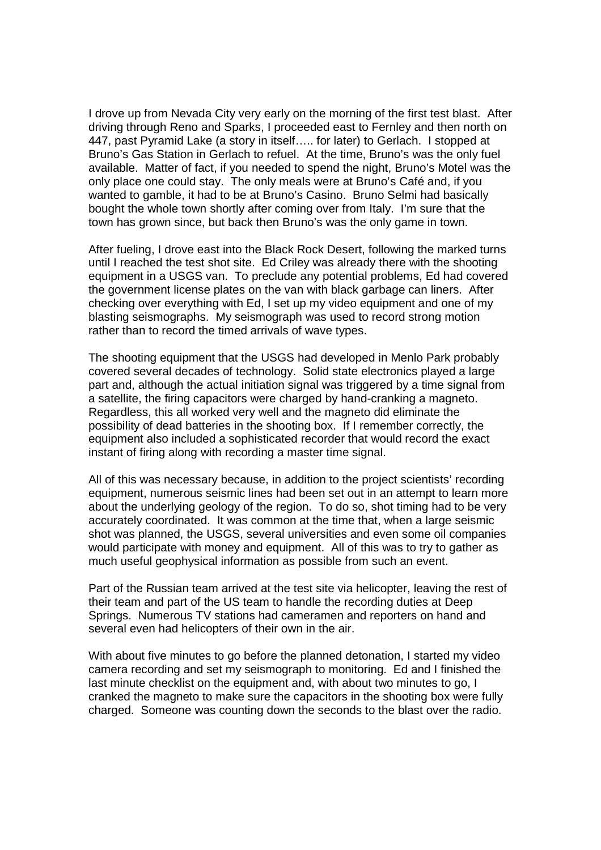I drove up from Nevada City very early on the morning of the first test blast. After driving through Reno and Sparks, I proceeded east to Fernley and then north on 447, past Pyramid Lake (a story in itself….. for later) to Gerlach. I stopped at Bruno's Gas Station in Gerlach to refuel. At the time, Bruno's was the only fuel available. Matter of fact, if you needed to spend the night, Bruno's Motel was the only place one could stay. The only meals were at Bruno's Café and, if you wanted to gamble, it had to be at Bruno's Casino. Bruno Selmi had basically bought the whole town shortly after coming over from Italy. I'm sure that the town has grown since, but back then Bruno's was the only game in town.

After fueling, I drove east into the Black Rock Desert, following the marked turns until I reached the test shot site. Ed Criley was already there with the shooting equipment in a USGS van. To preclude any potential problems, Ed had covered the government license plates on the van with black garbage can liners. After checking over everything with Ed, I set up my video equipment and one of my blasting seismographs. My seismograph was used to record strong motion rather than to record the timed arrivals of wave types.

The shooting equipment that the USGS had developed in Menlo Park probably covered several decades of technology. Solid state electronics played a large part and, although the actual initiation signal was triggered by a time signal from a satellite, the firing capacitors were charged by hand-cranking a magneto. Regardless, this all worked very well and the magneto did eliminate the possibility of dead batteries in the shooting box. If I remember correctly, the equipment also included a sophisticated recorder that would record the exact instant of firing along with recording a master time signal.

All of this was necessary because, in addition to the project scientists' recording equipment, numerous seismic lines had been set out in an attempt to learn more about the underlying geology of the region. To do so, shot timing had to be very accurately coordinated. It was common at the time that, when a large seismic shot was planned, the USGS, several universities and even some oil companies would participate with money and equipment. All of this was to try to gather as much useful geophysical information as possible from such an event.

Part of the Russian team arrived at the test site via helicopter, leaving the rest of their team and part of the US team to handle the recording duties at Deep Springs. Numerous TV stations had cameramen and reporters on hand and several even had helicopters of their own in the air.

With about five minutes to go before the planned detonation, I started my video camera recording and set my seismograph to monitoring. Ed and I finished the last minute checklist on the equipment and, with about two minutes to go, I cranked the magneto to make sure the capacitors in the shooting box were fully charged. Someone was counting down the seconds to the blast over the radio.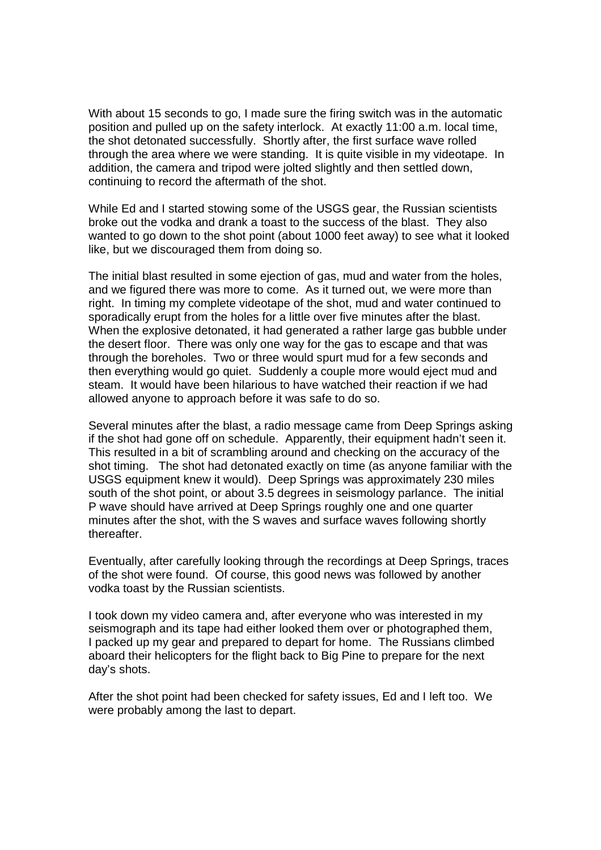With about 15 seconds to go, I made sure the firing switch was in the automatic position and pulled up on the safety interlock. At exactly 11:00 a.m. local time, the shot detonated successfully. Shortly after, the first surface wave rolled through the area where we were standing. It is quite visible in my videotape. In addition, the camera and tripod were jolted slightly and then settled down, continuing to record the aftermath of the shot.

While Ed and I started stowing some of the USGS gear, the Russian scientists broke out the vodka and drank a toast to the success of the blast. They also wanted to go down to the shot point (about 1000 feet away) to see what it looked like, but we discouraged them from doing so.

The initial blast resulted in some ejection of gas, mud and water from the holes, and we figured there was more to come. As it turned out, we were more than right. In timing my complete videotape of the shot, mud and water continued to sporadically erupt from the holes for a little over five minutes after the blast. When the explosive detonated, it had generated a rather large gas bubble under the desert floor. There was only one way for the gas to escape and that was through the boreholes. Two or three would spurt mud for a few seconds and then everything would go quiet. Suddenly a couple more would eject mud and steam. It would have been hilarious to have watched their reaction if we had allowed anyone to approach before it was safe to do so.

Several minutes after the blast, a radio message came from Deep Springs asking if the shot had gone off on schedule. Apparently, their equipment hadn't seen it. This resulted in a bit of scrambling around and checking on the accuracy of the shot timing. The shot had detonated exactly on time (as anyone familiar with the USGS equipment knew it would). Deep Springs was approximately 230 miles south of the shot point, or about 3.5 degrees in seismology parlance. The initial P wave should have arrived at Deep Springs roughly one and one quarter minutes after the shot, with the S waves and surface waves following shortly thereafter.

Eventually, after carefully looking through the recordings at Deep Springs, traces of the shot were found. Of course, this good news was followed by another vodka toast by the Russian scientists.

I took down my video camera and, after everyone who was interested in my seismograph and its tape had either looked them over or photographed them, I packed up my gear and prepared to depart for home. The Russians climbed aboard their helicopters for the flight back to Big Pine to prepare for the next day's shots.

After the shot point had been checked for safety issues, Ed and I left too. We were probably among the last to depart.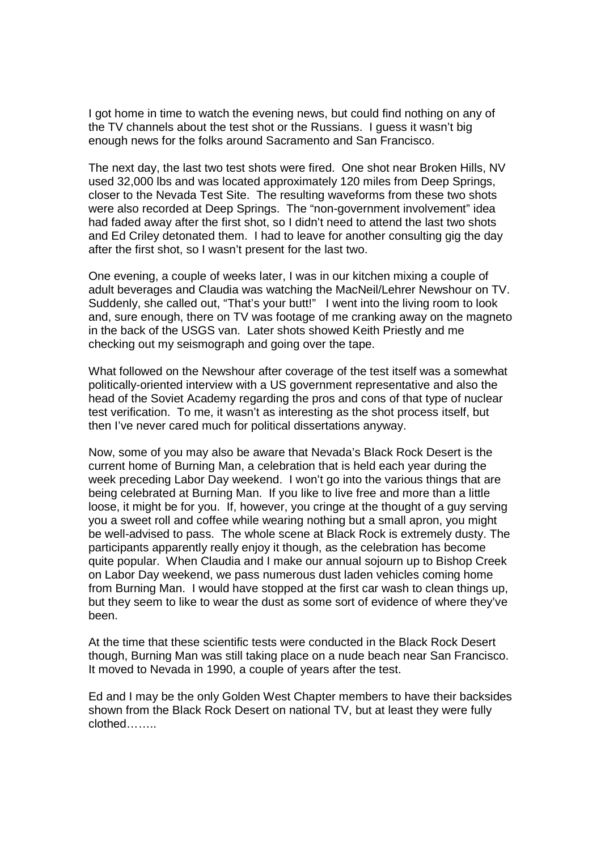I got home in time to watch the evening news, but could find nothing on any of the TV channels about the test shot or the Russians. I guess it wasn't big enough news for the folks around Sacramento and San Francisco.

The next day, the last two test shots were fired. One shot near Broken Hills, NV used 32,000 lbs and was located approximately 120 miles from Deep Springs, closer to the Nevada Test Site. The resulting waveforms from these two shots were also recorded at Deep Springs. The "non-government involvement" idea had faded away after the first shot, so I didn't need to attend the last two shots and Ed Criley detonated them. I had to leave for another consulting gig the day after the first shot, so I wasn't present for the last two.

One evening, a couple of weeks later, I was in our kitchen mixing a couple of adult beverages and Claudia was watching the MacNeil/Lehrer Newshour on TV. Suddenly, she called out, "That's your butt!" I went into the living room to look and, sure enough, there on TV was footage of me cranking away on the magneto in the back of the USGS van. Later shots showed Keith Priestly and me checking out my seismograph and going over the tape.

What followed on the Newshour after coverage of the test itself was a somewhat politically-oriented interview with a US government representative and also the head of the Soviet Academy regarding the pros and cons of that type of nuclear test verification. To me, it wasn't as interesting as the shot process itself, but then I've never cared much for political dissertations anyway.

Now, some of you may also be aware that Nevada's Black Rock Desert is the current home of Burning Man, a celebration that is held each year during the week preceding Labor Day weekend. I won't go into the various things that are being celebrated at Burning Man. If you like to live free and more than a little loose, it might be for you. If, however, you cringe at the thought of a guy serving you a sweet roll and coffee while wearing nothing but a small apron, you might be well-advised to pass. The whole scene at Black Rock is extremely dusty. The participants apparently really enjoy it though, as the celebration has become quite popular. When Claudia and I make our annual sojourn up to Bishop Creek on Labor Day weekend, we pass numerous dust laden vehicles coming home from Burning Man. I would have stopped at the first car wash to clean things up, but they seem to like to wear the dust as some sort of evidence of where they've been.

At the time that these scientific tests were conducted in the Black Rock Desert though, Burning Man was still taking place on a nude beach near San Francisco. It moved to Nevada in 1990, a couple of years after the test.

Ed and I may be the only Golden West Chapter members to have their backsides shown from the Black Rock Desert on national TV, but at least they were fully clothed……..